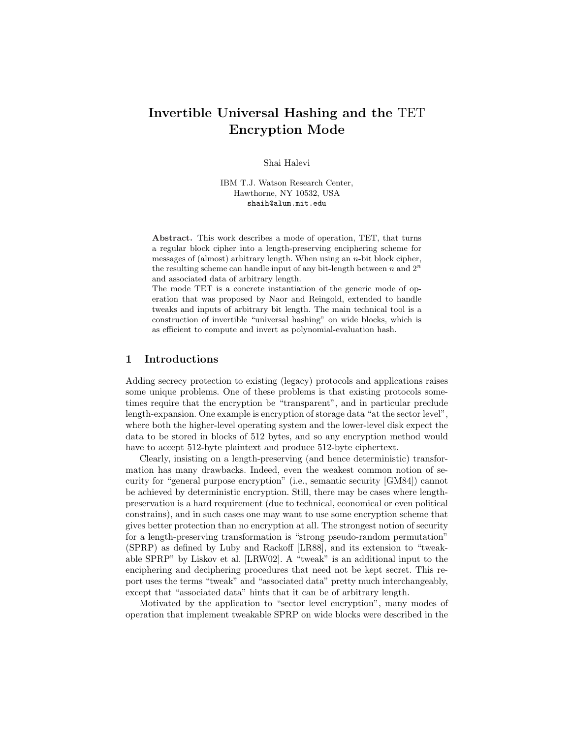# Invertible Universal Hashing and the TET Encryption Mode

Shai Halevi

IBM T.J. Watson Research Center, Hawthorne, NY 10532, USA shaih@alum.mit.edu

Abstract. This work describes a mode of operation, TET, that turns a regular block cipher into a length-preserving enciphering scheme for messages of (almost) arbitrary length. When using an  $n$ -bit block cipher, the resulting scheme can handle input of any bit-length between n and  $2<sup>n</sup>$ and associated data of arbitrary length.

The mode TET is a concrete instantiation of the generic mode of operation that was proposed by Naor and Reingold, extended to handle tweaks and inputs of arbitrary bit length. The main technical tool is a construction of invertible "universal hashing" on wide blocks, which is as efficient to compute and invert as polynomial-evaluation hash.

### 1 Introductions

Adding secrecy protection to existing (legacy) protocols and applications raises some unique problems. One of these problems is that existing protocols sometimes require that the encryption be "transparent", and in particular preclude length-expansion. One example is encryption of storage data "at the sector level", where both the higher-level operating system and the lower-level disk expect the data to be stored in blocks of 512 bytes, and so any encryption method would have to accept 512-byte plaintext and produce 512-byte ciphertext.

Clearly, insisting on a length-preserving (and hence deterministic) transformation has many drawbacks. Indeed, even the weakest common notion of security for "general purpose encryption" (i.e., semantic security [GM84]) cannot be achieved by deterministic encryption. Still, there may be cases where lengthpreservation is a hard requirement (due to technical, economical or even political constrains), and in such cases one may want to use some encryption scheme that gives better protection than no encryption at all. The strongest notion of security for a length-preserving transformation is "strong pseudo-random permutation" (SPRP) as defined by Luby and Rackoff [LR88], and its extension to "tweakable SPRP" by Liskov et al. [LRW02]. A "tweak" is an additional input to the enciphering and deciphering procedures that need not be kept secret. This report uses the terms "tweak" and "associated data" pretty much interchangeably, except that "associated data" hints that it can be of arbitrary length.

Motivated by the application to "sector level encryption", many modes of operation that implement tweakable SPRP on wide blocks were described in the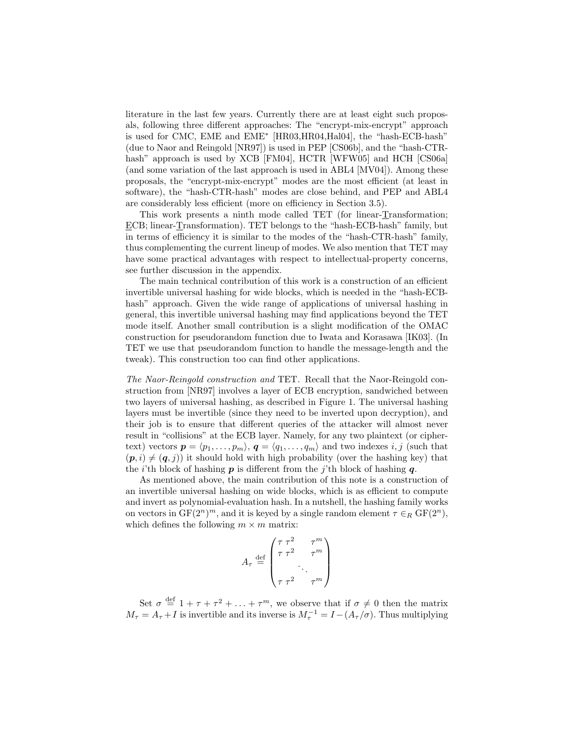literature in the last few years. Currently there are at least eight such proposals, following three different approaches: The "encrypt-mix-encrypt" approach is used for CMC, EME and EME<sup>∗</sup> [HR03,HR04,Hal04], the "hash-ECB-hash" (due to Naor and Reingold [NR97]) is used in PEP [CS06b], and the "hash-CTRhash" approach is used by XCB [FM04], HCTR [WFW05] and HCH [CS06a] (and some variation of the last approach is used in ABL4 [MV04]). Among these proposals, the "encrypt-mix-encrypt" modes are the most efficient (at least in software), the "hash-CTR-hash" modes are close behind, and PEP and ABL4 are considerably less efficient (more on efficiency in Section 3.5).

This work presents a ninth mode called TET (for linear-Transformation; ECB; linear-Transformation). TET belongs to the "hash-ECB-hash" family, but in terms of efficiency it is similar to the modes of the "hash-CTR-hash" family, thus complementing the current lineup of modes. We also mention that TET may have some practical advantages with respect to intellectual-property concerns, see further discussion in the appendix.

The main technical contribution of this work is a construction of an efficient invertible universal hashing for wide blocks, which is needed in the "hash-ECBhash" approach. Given the wide range of applications of universal hashing in general, this invertible universal hashing may find applications beyond the TET mode itself. Another small contribution is a slight modification of the OMAC construction for pseudorandom function due to Iwata and Korasawa [IK03]. (In TET we use that pseudorandom function to handle the message-length and the tweak). This construction too can find other applications.

The Naor-Reingold construction and TET. Recall that the Naor-Reingold construction from [NR97] involves a layer of ECB encryption, sandwiched between two layers of universal hashing, as described in Figure 1. The universal hashing layers must be invertible (since they need to be inverted upon decryption), and their job is to ensure that different queries of the attacker will almost never result in "collisions" at the ECB layer. Namely, for any two plaintext (or ciphertext) vectors  $p = \langle p_1, \ldots, p_m \rangle$ ,  $q = \langle q_1, \ldots, q_m \rangle$  and two indexes i, j (such that  $(p, i) \neq (q, j)$  it should hold with high probability (over the hashing key) that the *i*'th block of hashing  $p$  is different from the *j*'th block of hashing  $q$ .

As mentioned above, the main contribution of this note is a construction of an invertible universal hashing on wide blocks, which is as efficient to compute and invert as polynomial-evaluation hash. In a nutshell, the hashing family works on vectors in  $GF(2^n)^m$ , and it is keyed by a single random element  $\tau \in_R GF(2^n)$ , which defines the following  $m \times m$  matrix:

$$
A_{\tau} \stackrel{\text{def}}{=} \begin{pmatrix} \tau \tau^2 & \tau^m \\ \tau \tau^2 & \tau^m \\ \cdot & \cdot \\ \tau \tau^2 & \tau^m \end{pmatrix}
$$

Set  $\sigma \stackrel{\text{def}}{=} 1 + \tau + \tau^2 + \ldots + \tau^m$ , we observe that if  $\sigma \neq 0$  then the matrix  $M_{\tau} = A_{\tau} + I$  is invertible and its inverse is  $M_{\tau}^{-1} = I - (A_{\tau}/\sigma)$ . Thus multiplying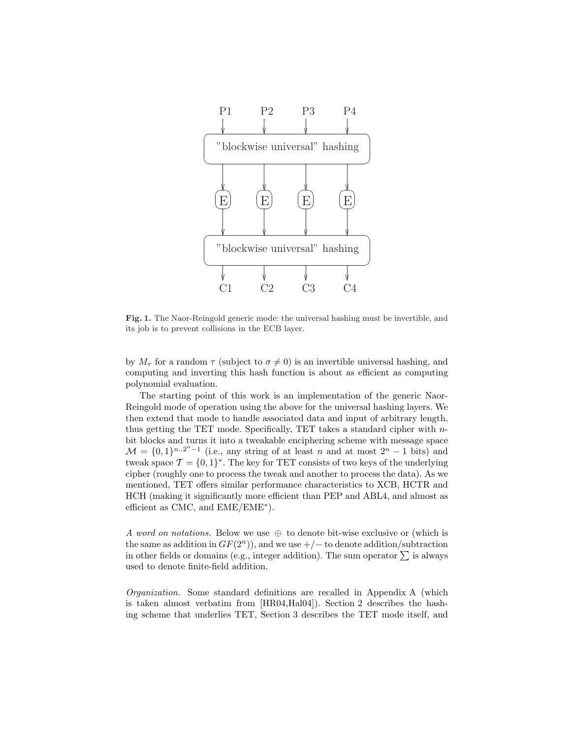

Fig. 1. The Naor-Reingold generic mode: the universal hashing must be invertible, and its job is to prevent collisions in the ECB layer.

by  $M_{\tau}$  for a random  $\tau$  (subject to  $\sigma \neq 0$ ) is an invertible universal hashing, and computing and inverting this hash function is about as efficient as computing polynomial evaluation.

The starting point of this work is an implementation of the generic Naor-Reingold mode of operation using the above for the universal hashing layers. We then extend that mode to handle associated data and input of arbitrary length, thus getting the TET mode. Specifically, TET takes a standard cipher with nbit blocks and turns it into a tweakable enciphering scheme with message space  $\mathcal{M} = \{0,1\}^{n..2^{n}-1}$  (i.e., any string of at least n and at most  $2^{n}-1$  bits) and tweak space  $\mathcal{T} = \{0, 1\}^*$ . The key for TET consists of two keys of the underlying cipher (roughly one to process the tweak and another to process the data). As we mentioned, TET offers similar performance characteristics to XCB, HCTR and HCH (making it significantly more efficient than PEP and ABL4, and almost as efficient as CMC, and EME/EME<sup>∗</sup> ).

A word on notations. Below we use  $\oplus$  to denote bit-wise exclusive or (which is the same as addition in  $GF(2^n)$ , and we use  $+/-$  to denote addition/subtraction in other fields or domains (e.g., integer addition). The sum operator  $\Sigma$  is always used to denote finite-field addition.

Organization. Some standard definitions are recalled in Appendix A (which is taken almost verbatim from [HR04,Hal04]). Section 2 describes the hashing scheme that underlies TET, Section 3 describes the TET mode itself, and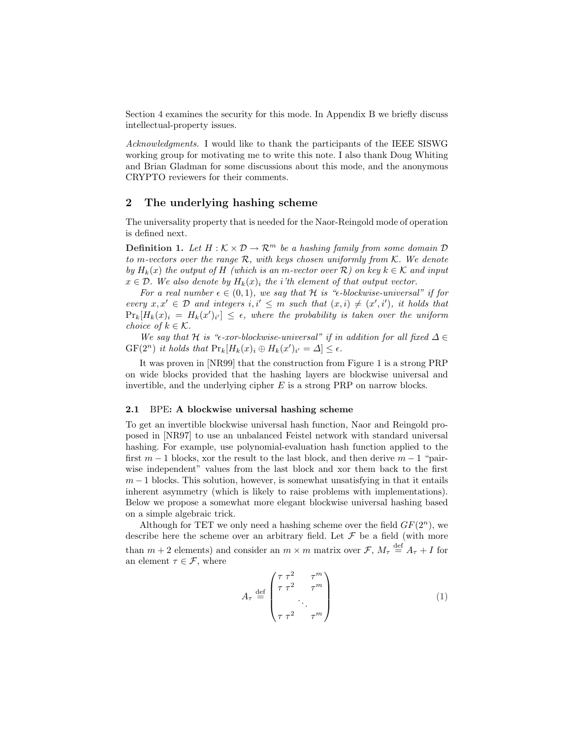Section 4 examines the security for this mode. In Appendix B we briefly discuss intellectual-property issues.

Acknowledgments. I would like to thank the participants of the IEEE SISWG working group for motivating me to write this note. I also thank Doug Whiting and Brian Gladman for some discussions about this mode, and the anonymous CRYPTO reviewers for their comments.

## 2 The underlying hashing scheme

The universality property that is needed for the Naor-Reingold mode of operation is defined next.

**Definition 1.** Let  $H: K \times \mathcal{D} \to \mathbb{R}^m$  be a hashing family from some domain  $\mathcal{D}$ to m-vectors over the range  $R$ , with keys chosen uniformly from  $K$ . We denote by  $H_k(x)$  the output of H (which is an m-vector over R) on key  $k \in \mathcal{K}$  and input  $x \in \mathcal{D}$ . We also denote by  $H_k(x)_i$  the i'th element of that output vector.

For a real number  $\epsilon \in (0,1)$ , we say that H is " $\epsilon$ -blockwise-universal" if for every  $x, x' \in \mathcal{D}$  and integers  $i, i' \leq m$  such that  $(x, i) \neq (x', i')$ , it holds that  $\Pr_k[H_k(x)_i = H_k(x')_{i'}] \leq \epsilon$ , where the probability is taken over the uniform choice of  $k \in \mathcal{K}$ .

We say that H is " $\epsilon$ -xor-blockwise-universal" if in addition for all fixed  $\Delta \in$  $GF(2^n)$  it holds that  $Pr_k[H_k(x)_i \oplus H_k(x')_{i'} = \Delta] \leq \epsilon$ .

It was proven in [NR99] that the construction from Figure 1 is a strong PRP on wide blocks provided that the hashing layers are blockwise universal and invertible, and the underlying cipher  $E$  is a strong PRP on narrow blocks.

### 2.1 BPE: A blockwise universal hashing scheme

To get an invertible blockwise universal hash function, Naor and Reingold proposed in [NR97] to use an unbalanced Feistel network with standard universal hashing. For example, use polynomial-evaluation hash function applied to the first  $m-1$  blocks, xor the result to the last block, and then derive  $m-1$  "pairwise independent" values from the last block and xor them back to the first  $m-1$  blocks. This solution, however, is somewhat unsatisfying in that it entails inherent asymmetry (which is likely to raise problems with implementations). Below we propose a somewhat more elegant blockwise universal hashing based on a simple algebraic trick.

Although for TET we only need a hashing scheme over the field  $GF(2<sup>n</sup>)$ , we describe here the scheme over an arbitrary field. Let  $\mathcal F$  be a field (with more than  $m + 2$  elements) and consider an  $m \times m$  matrix over  $\mathcal{F}, M_{\tau} \stackrel{\text{def}}{=} A_{\tau} + I$  for an element  $\tau \in \mathcal{F}$ , where

$$
A_{\tau} \stackrel{\text{def}}{=} \begin{pmatrix} \tau \tau^2 & \tau^m \\ \tau \tau^2 & \tau^m \\ \cdot & \cdot \\ \tau \tau^2 & \tau^m \end{pmatrix} \tag{1}
$$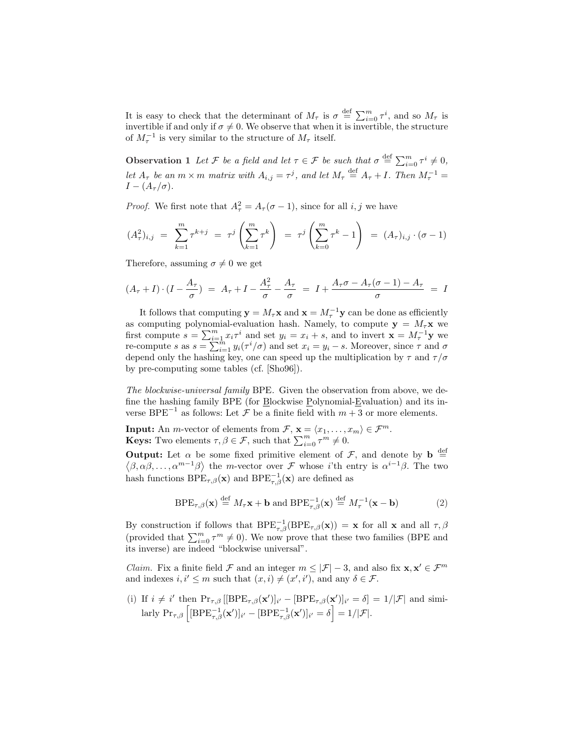It is easy to check that the determinant of  $M_{\tau}$  is  $\sigma \stackrel{\text{def}}{=} \sum_{i=0}^{m} \tau^{i}$ , and so  $M_{\tau}$  is invertible if and only if  $\sigma \neq 0$ . We observe that when it is invertible, the structure of  $M_{\tau}^{-1}$  is very similar to the structure of  $M_{\tau}$  itself.

**Observation 1** Let F be a field and let  $\tau \in \mathcal{F}$  be such that  $\sigma \stackrel{\text{def}}{=} \sum_{i=0}^{m} \tau^i \neq 0$ , let  $A_{\tau}$  be an  $m \times m$  matrix with  $A_{i,j} = \tau^{j}$ , and let  $M_{\tau} \stackrel{\text{def}}{=} A_{\tau} + I$ . Then  $M_{\tau}^{-1} =$  $I-(A_\tau/\sigma).$ 

*Proof.* We first note that  $A_{\tau}^2 = A_{\tau}(\sigma - 1)$ , since for all *i*, *j* we have

$$
(A_{\tau}^{2})_{i,j} = \sum_{k=1}^{m} \tau^{k+j} = \tau^{j} \left( \sum_{k=1}^{m} \tau^{k} \right) = \tau^{j} \left( \sum_{k=0}^{m} \tau^{k} - 1 \right) = (A_{\tau})_{i,j} \cdot (\sigma - 1)
$$

Therefore, assuming  $\sigma \neq 0$  we get

$$
(A_{\tau}+I)\cdot (I-\frac{A_{\tau}}{\sigma}) = A_{\tau}+I-\frac{A_{\tau}^2}{\sigma}-\frac{A_{\tau}}{\sigma} = I+\frac{A_{\tau}\sigma-A_{\tau}(\sigma-1)-A_{\tau}}{\sigma} = I
$$

It follows that computing  $y = M_\tau x$  and  $x = M_\tau^{-1} y$  can be done as efficiently as computing polynomial-evaluation hash. Namely, to compute  $y = M_\tau x$  we as computing polynomial-evaluation hash. Namely, to compute  $\mathbf{y} = M_\tau \mathbf{x}$  we<br>first compute  $s = \sum_{i=1}^m x_i \tau^i$  and set  $y_i = x_i + s$ , and to invert  $\mathbf{x} = M_\tau^{-1} \mathbf{y}$  we first compute  $s = \sum_{i=1}^n x_i \tau^i$  and set  $y_i = x_i + s$ , and to invert  $\mathbf{x} = M_\tau$  - y we<br>re-compute s as  $s = \sum_{i=1}^m y_i(\tau^i/\sigma)$  and set  $x_i = y_i - s$ . Moreover, since  $\tau$  and  $\sigma$ depend only the hashing key, one can speed up the multiplication by  $\tau$  and  $\tau/\sigma$ by pre-computing some tables (cf. [Sho96]).

The blockwise-universal family BPE. Given the observation from above, we define the hashing family BPE (for Blockwise Polynomial-Evaluation) and its inverse BPE<sup>-1</sup> as follows: Let  $\mathcal F$  be a finite field with  $m+3$  or more elements.

**Input:** An *m*-vector of elements from  $\mathcal{F}$ ,  $\mathbf{x} = \langle x_1, \dots, x_m \rangle \in \mathcal{F}^m$ .<br>**Keys:** Two elements  $\tau, \beta \in \mathcal{F}$ , such that  $\sum_{i=0}^m \tau^m \neq 0$ .

**Output:** Let  $\alpha$  be some fixed primitive element of  $\mathcal{F}$ , and denote by  $\mathbf{b} \stackrel{\text{def}}{=}$  $(\beta, \alpha\beta, \ldots, \alpha^{m-1}\beta)$  the m-vector over F whose *i*'th entry is  $\alpha^{i-1}\beta$ . The two hash functions  $BPE_{\tau,\beta}(\mathbf{x})$  and  $BPE_{\tau,\beta}^{-1}(\mathbf{x})$  are defined as

$$
BPE_{\tau,\beta}(\mathbf{x}) \stackrel{\text{def}}{=} M_{\tau}\mathbf{x} + \mathbf{b} \text{ and } BPE_{\tau,\beta}^{-1}(\mathbf{x}) \stackrel{\text{def}}{=} M_{\tau}^{-1}(\mathbf{x} - \mathbf{b})
$$
(2)

By construction if follows that  $BPE_{\tau,\beta}^{-1}(BPE_{\tau,\beta}(\mathbf{x})) = \mathbf{x}$  for all  $\mathbf{x}$  and all  $\tau,\beta$ by construction in follows that  $\mathbf{B} \mathbf{E}_{\tau,\beta}(\mathbf{B} \mathbf{E}_{\tau,\beta}(\mathbf{x})) = \mathbf{x}$  for an  $\mathbf{x}$  and an  $\tau, \beta$  (provided that  $\sum_{i=0}^{m} \tau^{m} \neq 0$ ). We now prove that these two families (BPE and its inverse) are indeed "blockwise universal".

*Claim.* Fix a finite field  $\mathcal F$  and an integer  $m \leq |\mathcal F| - 3$ , and also fix  $\mathbf x, \mathbf x' \in \mathcal F^m$ and indexes  $i, i' \leq m$  such that  $(x, i) \neq (x', i')$ , and any  $\delta \in \mathcal{F}$ .

(i) If  $i \neq i'$  then  $\Pr_{\tau,\beta}$  [[BPE<sub> $\tau,\beta$ </sub>(**x**')]<sub>i'</sub> - [BPE<sub> $\tau,\beta$ </sub>(**x'**)]<sub>i'</sub> =  $\delta$ ] = 1/|*F*| and simi-If  $i \neq i$  then  $\Pr_{\tau,\beta}$  [[BPE<sub> $\tau,\beta$ </sub>(**x** )]<sub>i'</sub> - [BPE<sub> $\tau,\beta$ </sub>(**x** )]<sub>i'</sub> =  $\delta$ ] = 1/|*F*|.<br>larly  $\Pr_{\tau,\beta}$  [[BPE $_{\tau,\beta}^{-1}$ (**x'**)]<sub>i'</sub> - [BPE $_{\tau,\beta}^{-1}$ (**x'**)]<sub>i'</sub> =  $\delta$ ] = 1/|*F*|.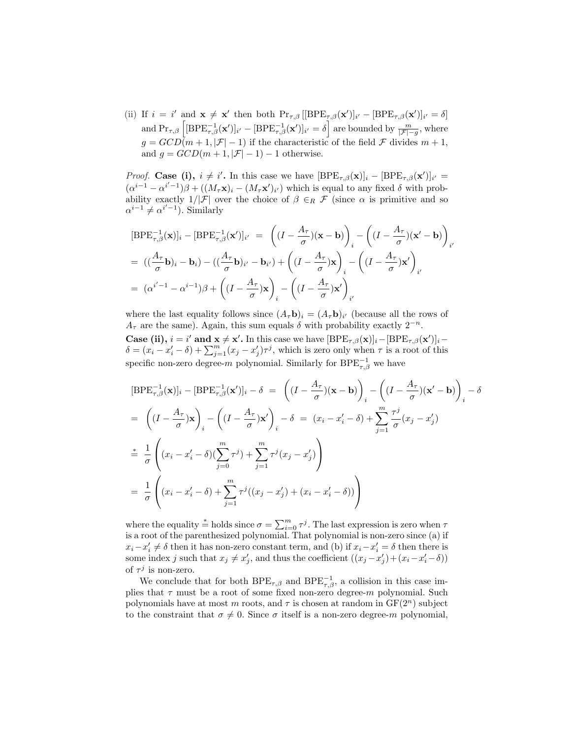(ii) If  $i = i'$  and  $\mathbf{x} \neq \mathbf{x}'$  then both  $\Pr_{\tau,\beta} [[BPE_{\tau,\beta}(\mathbf{x}')]_{i'} - [BPE_{\tau,\beta}(\mathbf{x}')]_{i'} = \delta]$  $\text{and } \Pr_{\tau,\beta} \left[ [\text{BPE}_{\tau,\beta}^{-1}(\mathbf{x}')]_{i'} - [\text{BPE}_{\tau,\beta}^{-1}(\mathbf{x}')]_{i'} \right] = \delta \right]$  are bounded by  $\frac{m}{|\mathcal{F}| - g}$ , where  $g = GCD(m+1, |\mathcal{F}|-1)$  if the characteristic of the field  $\mathcal F$  divides  $m+1$ , and  $g = GCD(m+1, |\mathcal{F}|-1) - 1$  otherwise.

*Proof.* Case (i),  $i \neq i'$ . In this case we have  $[BPE_{\tau,\beta}(\mathbf{x})]_i - [BPE_{\tau,\beta}(\mathbf{x}')]_{i'} =$  $(\alpha^{i-1}-\alpha^{i'-1})\beta + ((M_{\tau}\mathbf{x})_i - (M_{\tau}\mathbf{x}')_{i'})$  which is equal to any fixed  $\delta$  with probability exactly  $1/|\mathcal{F}|$  over the choice of  $\beta \in_R \mathcal{F}$  (since  $\alpha$  is primitive and so  $\alpha^{i-1} \neq \alpha^{i'-1}$ ). Similarly

$$
[BPE_{\tau,\beta}^{-1}(\mathbf{x})]_i - [BPE_{\tau,\beta}^{-1}(\mathbf{x}')]_{i'} = \left( (I - \frac{A_{\tau}}{\sigma})(\mathbf{x} - \mathbf{b}) \right)_i - \left( (I - \frac{A_{\tau}}{\sigma})(\mathbf{x}' - \mathbf{b}) \right)_{i'}
$$
  
=  $((\frac{A_{\tau}}{\sigma}\mathbf{b})_i - \mathbf{b}_i) - ((\frac{A_{\tau}}{\sigma}\mathbf{b})_{i'} - \mathbf{b}_{i'}) + \left( (I - \frac{A_{\tau}}{\sigma})\mathbf{x} \right)_i - \left( (I - \frac{A_{\tau}}{\sigma})\mathbf{x}' \right)_{i'}$   
=  $(\alpha^{i'-1} - \alpha^{i-1})\beta + \left( (I - \frac{A_{\tau}}{\sigma})\mathbf{x} \right)_i - \left( (I - \frac{A_{\tau}}{\sigma})\mathbf{x}' \right)_{i'}$ 

where the last equality follows since  $(A_{\tau}\mathbf{b})_i = (A_{\tau}\mathbf{b})_{i'}$  (because all the rows of  $A_{\tau}$  are the same). Again, this sum equals  $\delta$  with probability exactly  $2^{-n}$ . Case (ii),  $i = i'$  and  $\mathbf{x} \neq \mathbf{x}'$ . In this case we have  $[BPE_{\tau,\beta}(\mathbf{x})]_i-[BPE_{\tau,\beta}(\mathbf{x}')]_i$ -**Case** (ii),  $i = i$  and  $\mathbf{x} \neq \mathbf{x}$ . In this case we have  $[\mathbf{D} \mathbf{E} \mathbf{\tau}_{\tau, \beta}(\mathbf{x})]_i - [\mathbf{D} \mathbf{E} \mathbf{\tau}_{\tau, \beta}(\mathbf{x})]_i - \delta = (x_i - x'_i - \delta) + \sum_{j=1}^m (x_j - x'_j) \tau^j$ , which is zero only when  $\tau$  is a root of this specific non-zero degree-m polynomial. Similarly for  $BPE^{-1}_{\tau,\beta}$  we have

$$
[BPE_{\tau,\beta}^{-1}(\mathbf{x})]_i - [BPE_{\tau,\beta}^{-1}(\mathbf{x}')]_i - \delta = \left( (I - \frac{A_{\tau}}{\sigma})(\mathbf{x} - \mathbf{b}) \right)_i - \left( (I - \frac{A_{\tau}}{\sigma})(\mathbf{x}' - \mathbf{b}) \right)_i - \delta
$$
  
\n
$$
= \left( (I - \frac{A_{\tau}}{\sigma})\mathbf{x} \right)_i - \left( (I - \frac{A_{\tau}}{\sigma})\mathbf{x}' \right)_i - \delta = (x_i - x'_i - \delta) + \sum_{j=1}^m \frac{\tau^j}{\sigma}(x_j - x'_j)
$$
  
\n
$$
\stackrel{*}{=} \frac{1}{\sigma} \left( (x_i - x'_i - \delta)(\sum_{j=0}^m \tau^j) + \sum_{j=1}^m \tau^j(x_j - x'_j) \right)
$$
  
\n
$$
= \frac{1}{\sigma} \left( (x_i - x'_i - \delta) + \sum_{j=1}^m \tau^j((x_j - x'_j) + (x_i - x'_i - \delta)) \right)
$$

where the equality  $\stackrel{*}{=}$  holds since  $\sigma = \sum_{i=0}^{m} \tau^{j}$ . The last expression is zero when  $\tau$ is a root of the parenthesized polynomial. That polynomial is non-zero since (a) if  $x_i - x'_i \neq \delta$  then it has non-zero constant term, and (b) if  $x_i - x'_i = \delta$  then there is some index j such that  $x_j \neq x'_j$ , and thus the coefficient  $((x_j - x'_j) + (x_i - x'_i - \delta))$ of  $\tau^j$  is non-zero.

We conclude that for both  $BPE_{\tau,\beta}$  and  $BPE_{\tau,\beta}^{-1}$ , a collision in this case implies that  $\tau$  must be a root of some fixed non-zero degree-m polynomial. Such polynomials have at most m roots, and  $\tau$  is chosen at random in  $GF(2^n)$  subject to the constraint that  $\sigma \neq 0$ . Since  $\sigma$  itself is a non-zero degree-m polynomial,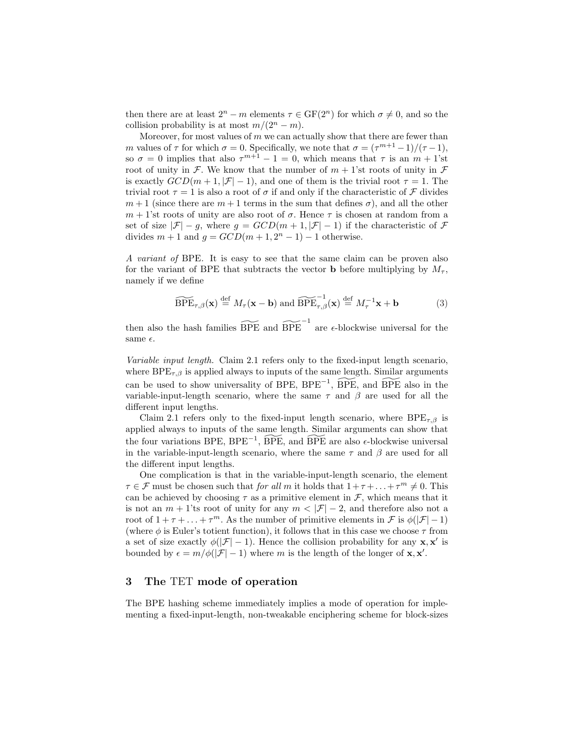then there are at least  $2^{n} - m$  elements  $\tau \in \mathbb{GF}(2^{n})$  for which  $\sigma \neq 0$ , and so the collision probability is at most  $m/(2^n-m)$ .

Moreover, for most values of  $m$  we can actually show that there are fewer than m values of  $\tau$  for which  $\sigma = 0$ . Specifically, we note that  $\sigma = (\tau^{m+1} - 1)/(\tau - 1)$ , so  $\sigma = 0$  implies that also  $\tau^{m+1} - 1 = 0$ , which means that  $\tau$  is an  $m + 1$ 'st root of unity in F. We know that the number of  $m + 1$ 'st roots of unity in F is exactly  $GCD(m+1, |\mathcal{F}|-1)$ , and one of them is the trivial root  $\tau = 1$ . The trivial root  $\tau = 1$  is also a root of  $\sigma$  if and only if the characteristic of  $\mathcal F$  divides  $m+1$  (since there are  $m+1$  terms in the sum that defines  $\sigma$ ), and all the other  $m + 1$ 'st roots of unity are also root of  $\sigma$ . Hence  $\tau$  is chosen at random from a set of size  $|\mathcal{F}| - g$ , where  $g = GCD(m+1, |\mathcal{F}|-1)$  if the characteristic of  $\mathcal{F}$ divides  $m + 1$  and  $g = GCD(m + 1, 2<sup>n</sup> - 1) - 1$  otherwise.

A variant of BPE. It is easy to see that the same claim can be proven also for the variant of BPE that subtracts the vector **b** before multiplying by  $M_{\tau}$ , namely if we define

$$
\widetilde{\text{BPE}}_{\tau,\beta}(\mathbf{x}) \stackrel{\text{def}}{=} M_{\tau}(\mathbf{x} - \mathbf{b}) \text{ and } \widetilde{\text{BPE}}_{\tau,\beta}^{-1}(\mathbf{x}) \stackrel{\text{def}}{=} M_{\tau}^{-1}\mathbf{x} + \mathbf{b}
$$
(3)

then also the hash families  $\widetilde{\text{BPE}}$  and  $\widetilde{\text{BPE}}^{-1}$  are  $\epsilon$ -blockwise universal for the same  $\epsilon$ .

Variable input length. Claim 2.1 refers only to the fixed-input length scenario, where  $BPE_{\tau,\beta}$  is applied always to inputs of the same length. Similar arguments can be used to show universality of BPE, BPE<sup> $-1$ </sup>,  $\widetilde{BPE}$ , and  $\widetilde{BPE}$  also in the variable-input-length scenario, where the same  $\tau$  and  $\beta$  are used for all the different input lengths.

Claim 2.1 refers only to the fixed-input length scenario, where  $BPE_{\tau,\beta}$  is applied always to inputs of the same length. Similar arguments can show that the four variations BPE, BPE<sup>-1</sup>,  $\widetilde{BPE}$ , and  $\widetilde{BPE}$  are also  $\epsilon$ -blockwise universal in the variable-input-length scenario, where the same  $\tau$  and  $\beta$  are used for all the different input lengths.

One complication is that in the variable-input-length scenario, the element  $\tau \in \mathcal{F}$  must be chosen such that for all m it holds that  $1 + \tau + \ldots + \tau^m \neq 0$ . This can be achieved by choosing  $\tau$  as a primitive element in  $\mathcal{F}$ , which means that it is not an  $m + 1$ 'ts root of unity for any  $m < |\mathcal{F}| - 2$ , and therefore also not a root of  $1 + \tau + \ldots + \tau^m$ . As the number of primitive elements in  $\mathcal{F}$  is  $\phi(|\mathcal{F}| - 1)$ (where  $\phi$  is Euler's totient function), it follows that in this case we choose  $\tau$  from a set of size exactly  $\phi(|\mathcal{F}| - 1)$ . Hence the collision probability for any  $\mathbf{x}, \mathbf{x}'$  is bounded by  $\epsilon = m/\phi(|\mathcal{F}| - 1)$  where m is the length of the longer of **x**, **x'**.

# 3 The TET mode of operation

The BPE hashing scheme immediately implies a mode of operation for implementing a fixed-input-length, non-tweakable enciphering scheme for block-sizes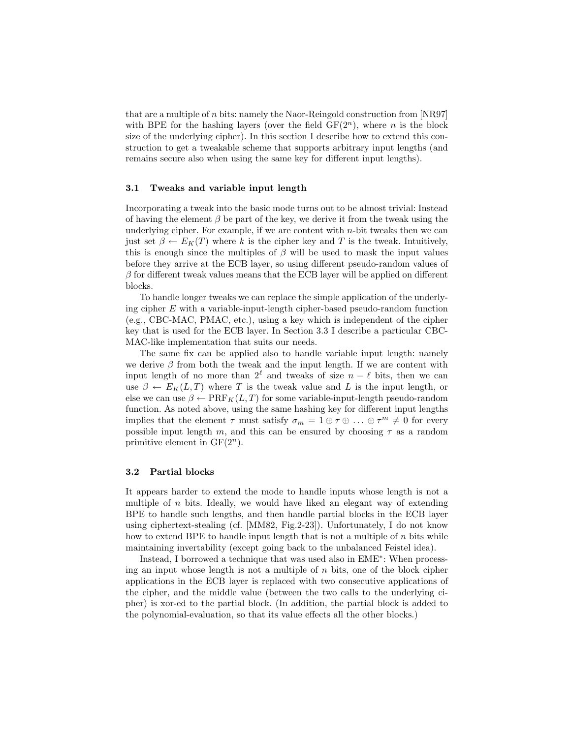that are a multiple of n bits: namely the Naor-Reingold construction from [NR97] with BPE for the hashing layers (over the field  $GF(2<sup>n</sup>)$ , where n is the block size of the underlying cipher). In this section I describe how to extend this construction to get a tweakable scheme that supports arbitrary input lengths (and remains secure also when using the same key for different input lengths).

#### 3.1 Tweaks and variable input length

Incorporating a tweak into the basic mode turns out to be almost trivial: Instead of having the element  $\beta$  be part of the key, we derive it from the tweak using the underlying cipher. For example, if we are content with  $n$ -bit tweaks then we can just set  $\beta \leftarrow E_K(T)$  where k is the cipher key and T is the tweak. Intuitively, this is enough since the multiples of  $\beta$  will be used to mask the input values before they arrive at the ECB layer, so using different pseudo-random values of  $\beta$  for different tweak values means that the ECB layer will be applied on different blocks.

To handle longer tweaks we can replace the simple application of the underlying cipher E with a variable-input-length cipher-based pseudo-random function (e.g., CBC-MAC, PMAC, etc.), using a key which is independent of the cipher key that is used for the ECB layer. In Section 3.3 I describe a particular CBC-MAC-like implementation that suits our needs.

The same fix can be applied also to handle variable input length: namely we derive  $\beta$  from both the tweak and the input length. If we are content with input length of no more than  $2^\ell$  and tweaks of size  $n - \ell$  bits, then we can use  $\beta \leftarrow E_K(L,T)$  where T is the tweak value and L is the input length, or else we can use  $\beta \leftarrow \text{PRF}_K(L, T)$  for some variable-input-length pseudo-random function. As noted above, using the same hashing key for different input lengths implies that the element  $\tau$  must satisfy  $\sigma_m = 1 \oplus \tau \oplus \ldots \oplus \tau^m \neq 0$  for every possible input length m, and this can be ensured by choosing  $\tau$  as a random primitive element in  $GF(2<sup>n</sup>)$ .

### 3.2 Partial blocks

It appears harder to extend the mode to handle inputs whose length is not a multiple of  $n$  bits. Ideally, we would have liked an elegant way of extending BPE to handle such lengths, and then handle partial blocks in the ECB layer using ciphertext-stealing (cf. [MM82, Fig.2-23]). Unfortunately, I do not know how to extend BPE to handle input length that is not a multiple of  $n$  bits while maintaining invertability (except going back to the unbalanced Feistel idea).

Instead, I borrowed a technique that was used also in EME<sup>∗</sup> : When processing an input whose length is not a multiple of  $n$  bits, one of the block cipher applications in the ECB layer is replaced with two consecutive applications of the cipher, and the middle value (between the two calls to the underlying cipher) is xor-ed to the partial block. (In addition, the partial block is added to the polynomial-evaluation, so that its value effects all the other blocks.)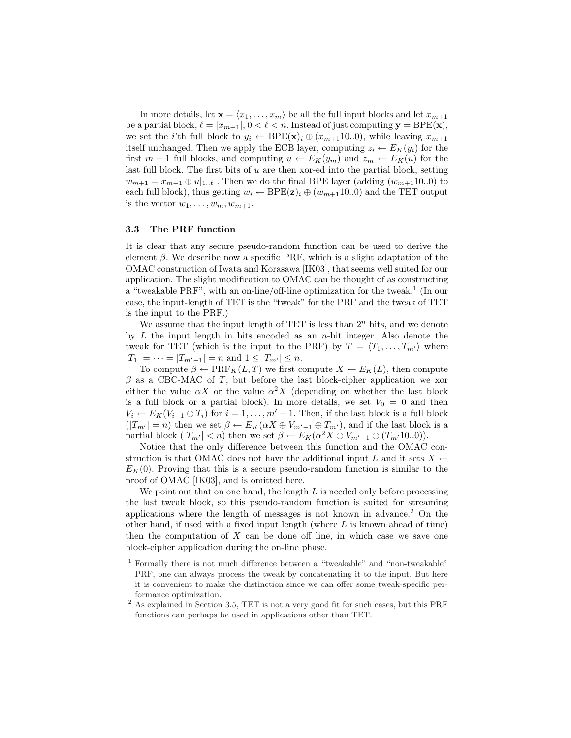In more details, let  $\mathbf{x} = \langle x_1, \ldots, x_m \rangle$  be all the full input blocks and let  $x_{m+1}$ be a partial block,  $\ell = |x_{m+1}|, 0 < \ell < n$ . Instead of just computing  $y = BPE(x)$ , we set the *i*'th full block to  $y_i \leftarrow BPE(\mathbf{x})_i \oplus (x_{m+1}10..0)$ , while leaving  $x_{m+1}$ itself unchanged. Then we apply the ECB layer, computing  $z_i \leftarrow E_K(y_i)$  for the first  $m-1$  full blocks, and computing  $u \leftarrow E_K(y_m)$  and  $z_m \leftarrow E_K(u)$  for the last full block. The first bits of  $u$  are then xor-ed into the partial block, setting  $w_{m+1} = x_{m+1} \oplus u|_{1,\ell}$ . Then we do the final BPE layer (adding  $(w_{m+1}10.0)$  to each full block), thus getting  $w_i \leftarrow BPE(\mathbf{z})_i \oplus (w_{m+1}10..0)$  and the TET output is the vector  $w_1, \ldots, w_m, w_{m+1}$ .

### 3.3 The PRF function

It is clear that any secure pseudo-random function can be used to derive the element  $\beta$ . We describe now a specific PRF, which is a slight adaptation of the OMAC construction of Iwata and Korasawa [IK03], that seems well suited for our application. The slight modification to OMAC can be thought of as constructing a "tweakable PRF", with an on-line/off-line optimization for the tweak.<sup>1</sup> (In our case, the input-length of TET is the "tweak" for the PRF and the tweak of TET is the input to the PRF.)

We assume that the input length of TET is less than  $2<sup>n</sup>$  bits, and we denote by  $L$  the input length in bits encoded as an *n*-bit integer. Also denote the tweak for TET (which is the input to the PRF) by  $T = \langle T_1, \ldots, T_{m'} \rangle$  where  $|T_1| = \cdots = |T_{m'-1}| = n$  and  $1 \leq |T_{m'}| \leq n$ .

To compute  $\beta \leftarrow \text{PRF}_K(L, T)$  we first compute  $X \leftarrow E_K(L)$ , then compute  $\beta$  as a CBC-MAC of T, but before the last block-cipher application we xor either the value  $\alpha X$  or the value  $\alpha^2 X$  (depending on whether the last block is a full block or a partial block). In more details, we set  $V_0 = 0$  and then  $V_i \leftarrow E_K(V_{i-1} \oplus T_i)$  for  $i = 1, \ldots, m' - 1$ . Then, if the last block is a full block  $(|T_{m'}|=n)$  then we set  $\beta \leftarrow E_K(\alpha X \oplus V_{m'-1} \oplus T_{m'})$ , and if the last block is a partial block  $(|T_{m'}| < n)$  then we set  $\beta \leftarrow E_K(\alpha^2 X \oplus V_{m'-1} \oplus (T_{m'}10..0)).$ 

Notice that the only difference between this function and the OMAC construction is that OMAC does not have the additional input L and it sets  $X \leftarrow$  $E_K(0)$ . Proving that this is a secure pseudo-random function is similar to the proof of OMAC [IK03], and is omitted here.

We point out that on one hand, the length  $L$  is needed only before processing the last tweak block, so this pseudo-random function is suited for streaming applications where the length of messages is not known in advance.<sup>2</sup> On the other hand, if used with a fixed input length (where  $L$  is known ahead of time) then the computation of  $X$  can be done off line, in which case we save one block-cipher application during the on-line phase.

<sup>1</sup> Formally there is not much difference between a "tweakable" and "non-tweakable" PRF, one can always process the tweak by concatenating it to the input. But here it is convenient to make the distinction since we can offer some tweak-specific performance optimization.

 $^{2}$  As explained in Section 3.5, TET is not a very good fit for such cases, but this PRF functions can perhaps be used in applications other than TET.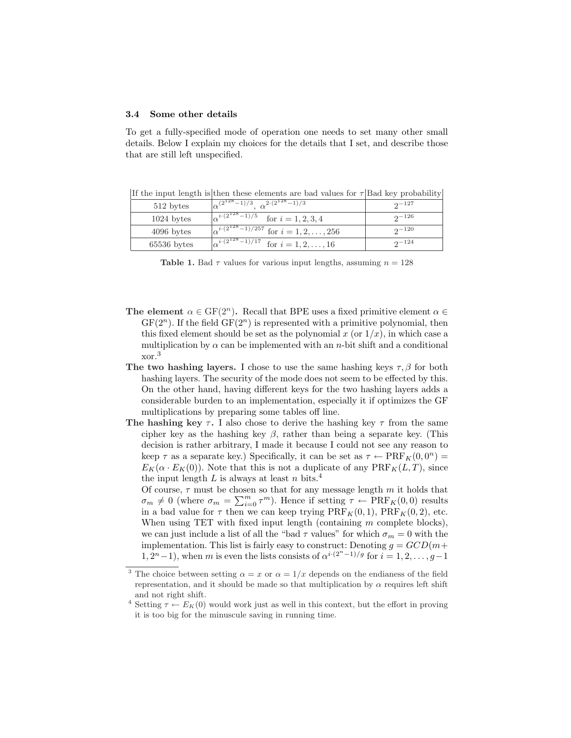#### 3.4 Some other details

To get a fully-specified mode of operation one needs to set many other small details. Below I explain my choices for the details that I set, and describe those that are still left unspecified.

|               | If the input length is their these elements are bad values for T pad key probability |                |
|---------------|--------------------------------------------------------------------------------------|----------------|
| 512 bytes     | $\sqrt{\alpha^{(2^{128}-1)/3} \alpha^{2 \cdot (2^{128}-1)/3}}$                       | $2^{\sim}$ 127 |
| $1024$ bytes  | $\sqrt{\alpha^{i \cdot (2^{128}-1)}}$ /5 for $i = 1, 2, 3, 4$                        | $2^{\sim 126}$ |
| $4096$ bytes  | $\sqrt{\alpha^{i \cdot (2^{128}-1)/257}}$ for $i = 1, 2, , 256$                      | $2^{\sim}$ 120 |
| $65536$ bytes | $\sqrt{\alpha^{i \cdot (2^{128}-1)}}^{17}$ for $i = 1, 2, , 16$                      | $2^{-124}$     |

If the input length is then these elements are bad values for  $\tau$  Bad key probability

Table 1. Bad  $\tau$  values for various input lengths, assuming  $n = 128$ 

- The element  $\alpha \in \text{GF}(2^n)$ . Recall that BPE uses a fixed primitive element  $\alpha \in$  $GF(2<sup>n</sup>)$ . If the field  $GF(2<sup>n</sup>)$  is represented with a primitive polynomial, then this fixed element should be set as the polynomial x (or  $1/x$ ), in which case a multiplication by  $\alpha$  can be implemented with an *n*-bit shift and a conditional xor.<sup>3</sup>
- The two hashing layers. I chose to use the same hashing keys  $\tau$ ,  $\beta$  for both hashing layers. The security of the mode does not seem to be effected by this. On the other hand, having different keys for the two hashing layers adds a considerable burden to an implementation, especially it if optimizes the GF multiplications by preparing some tables off line.
- The hashing key  $\tau$ . I also chose to derive the hashing key  $\tau$  from the same cipher key as the hashing key  $\beta$ , rather than being a separate key. (This decision is rather arbitrary, I made it because I could not see any reason to keep  $\tau$  as a separate key.) Specifically, it can be set as  $\tau \leftarrow \text{PRF}_K(0, 0^n) =$  $E_K(\alpha \cdot E_K(0))$ . Note that this is not a duplicate of any  $\text{PRF}_K(L, T)$ , since the input length L is always at least n bits.<sup>4</sup>

Of course,  $\tau$  must be chosen so that for any message length  $m$  it holds that Of course,  $τ$  must be chosen so that for any message length *m* it holds that  $σ<sub>m</sub> ≠ 0$  (where  $σ<sub>m</sub> = ∑<sub>i=0</sub><sup>m</sup> ∈ <sub>i=0</sub> τ<sup>m</sup>$ ). Hence if setting  $τ ← PRF<sub>K</sub>(0, 0)$  results in a bad value for  $\tau$  then we can keep trying  $\text{PRF}_K(0, 1)$ ,  $\text{PRF}_K(0, 2)$ , etc. When using TET with fixed input length (containing  $m$  complete blocks), we can just include a list of all the "bad  $\tau$  values" for which  $\sigma_m = 0$  with the implementation. This list is fairly easy to construct: Denoting  $g = GCD(m+)$  $1, 2^{n}-1$ , when m is even the lists consists of  $\alpha^{i \cdot (2^{n}-1)/g}$  for  $i = 1, 2, ..., g-1$ 

<sup>&</sup>lt;sup>3</sup> The choice between setting  $\alpha = x$  or  $\alpha = 1/x$  depends on the endianess of the field representation, and it should be made so that multiplication by  $\alpha$  requires left shift and not right shift.

<sup>&</sup>lt;sup>4</sup> Setting  $\tau \leftarrow E_K(0)$  would work just as well in this context, but the effort in proving it is too big for the minuscule saving in running time.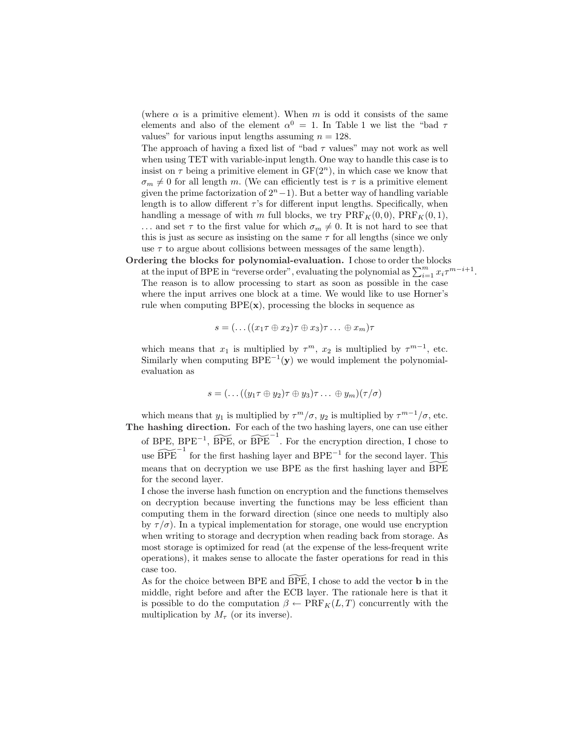(where  $\alpha$  is a primitive element). When m is odd it consists of the same elements and also of the element  $\alpha^0 = 1$ . In Table 1 we list the "bad  $\tau$ values" for various input lengths assuming  $n = 128$ .

The approach of having a fixed list of "bad  $\tau$  values" may not work as well when using TET with variable-input length. One way to handle this case is to insist on  $\tau$  being a primitive element in  $GF(2^n)$ , in which case we know that  $\sigma_m \neq 0$  for all length m. (We can efficiently test is  $\tau$  is a primitive element given the prime factorization of  $2<sup>n</sup> - 1$ ). But a better way of handling variable length is to allow different  $\tau$ 's for different input lengths. Specifically, when handling a message of with m full blocks, we try  $\text{PRF}_K(0, 0)$ ,  $\text{PRF}_K(0, 1)$ , ... and set  $\tau$  to the first value for which  $\sigma_m \neq 0$ . It is not hard to see that this is just as secure as insisting on the same  $\tau$  for all lengths (since we only use  $\tau$  to argue about collisions between messages of the same length).

Ordering the blocks for polynomial-evaluation. I chose to order the blocks **EXECUTE:** The blocks for polynomial-evaluation. I chose to order the blocks at the input of BPE in "reverse order", evaluating the polynomial as  $\sum_{i=1}^{m} x_i \tau^{m-i+1}$ . The reason is to allow processing to start as soon as possible in the case where the input arrives one block at a time. We would like to use Horner's rule when computing  $BPE(x)$ , processing the blocks in sequence as

$$
s = (\dots((x_1 \tau \oplus x_2) \tau \oplus x_3) \tau \dots \oplus x_m) \tau
$$

which means that  $x_1$  is multiplied by  $\tau^m$ ,  $x_2$  is multiplied by  $\tau^{m-1}$ , etc. Similarly when computing  $BPE^{-1}(y)$  we would implement the polynomialevaluation as

$$
s = (\dots((y_1 \tau \oplus y_2) \tau \oplus y_3) \tau \dots \oplus y_m)(\tau/\sigma)
$$

which means that  $y_1$  is multiplied by  $\tau^m/\sigma$ ,  $y_2$  is multiplied by  $\tau^{m-1}/\sigma$ , etc. The hashing direction. For each of the two hashing layers, one can use either of BPE,  $BPE^{-1}$ ,  $\widetilde{BPE}$ , or  $\widetilde{BPE}^{-1}$ . For the encryption direction, I chose to use  $\widetilde{\text{BPE}}^{-1}$  for the first hashing layer and  $\text{BPE}^{-1}$  for the second layer. This means that on decryption we use BPE as the first hashing layer and BPE

for the second layer.

I chose the inverse hash function on encryption and the functions themselves on decryption because inverting the functions may be less efficient than computing them in the forward direction (since one needs to multiply also by  $\tau/\sigma$ ). In a typical implementation for storage, one would use encryption when writing to storage and decryption when reading back from storage. As most storage is optimized for read (at the expense of the less-frequent write operations), it makes sense to allocate the faster operations for read in this case too.

As for the choice between BPE and BPE, I chose to add the vector  $\bf{b}$  in the middle, right before and after the ECB layer. The rationale here is that it is possible to do the computation  $\beta \leftarrow \text{PRF}_K(L, T)$  concurrently with the multiplication by  $M_{\tau}$  (or its inverse).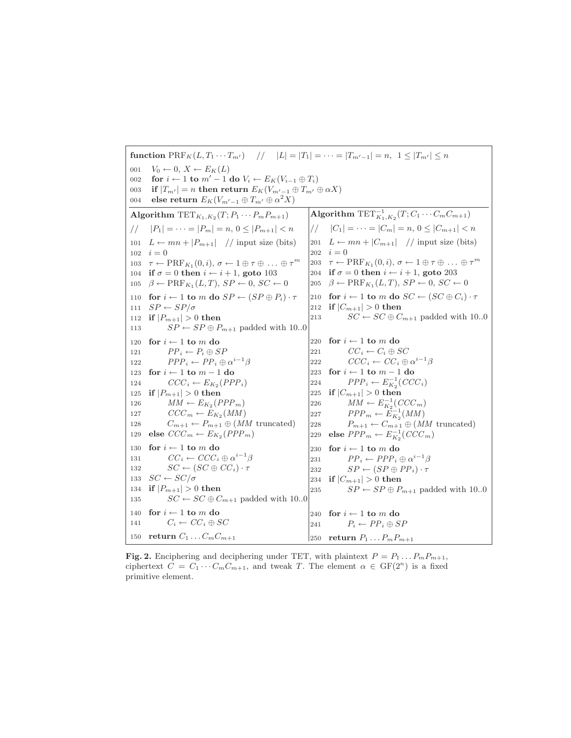```
function \text{PRF}_K(L, T_1 \cdots T_{m'}) // |L| = |T_1| = \cdots = |T_{m'-1}| = n, 1 \leq |T_{m'}| \leq n001 V_0 \leftarrow 0, X \leftarrow E_K(L)002 for i \leftarrow 1 to m' - 1 do V_i \leftarrow E_K(V_{i-1} \oplus T_i)003 if |T_{m'}| = n then return E_K(V_{m'-1} \oplus T_{m'} \oplus \alpha X)004 \quad else return E_K(V_{m'-1}\oplus T_{m'}\oplus\alpha^2X)Algorithm \text{TET}_{K_1,K_2}(T;P_1\cdots P_mP_{m+1})// |P_1| = \cdots = |P_m| = n, 0 \leq |P_{m+1}| < n101 L \leftarrow mn + |P_{m+1}| // input size (bits)
102 \quad i = 0103 \tau \leftarrow \text{PRF}_{K_1}(0, i), \sigma \leftarrow 1 \oplus \tau \oplus \ldots \oplus \tau^m104 if \sigma = 0 then i \leftarrow i + 1, goto 103
105 \beta \leftarrow \text{PRF}_{K_1}(L, T), SP \leftarrow 0, SC \leftarrow 0110 for i \leftarrow 1 to m do SP \leftarrow (SP \oplus P_i) \cdot \tau111 SP \leftarrow SP/\sigma112 if |P_{m+1}| > 0 then
113 SP \leftarrow SP \oplus P_{m+1} padded with 10..0
120 for i \leftarrow 1 to m do
121 PP_i \leftarrow P_i \oplus SP122 PPP_i \leftarrow PP_i \oplus \alpha^{i-1}\beta123 \mbox{ for } i \leftarrow 1 \mbox{ to } m-1 \mbox{ do }124 CCC_i \leftarrow E_{K_2}(PPP_i)125 if |P_{m+1}| > 0 then
126 MM \leftarrow E_{K_2}(PPP_m)127 CCC_m \leftarrow E_{K_2}(MM)128 C_{m+1} \leftarrow P_{m+1} \oplus (MM \text{ truncated})129 else CCC_m \leftarrow E_{K_2}(PPP_m)130 \, for \,i \leftarrow 1 to m do \,131 CC_i \leftarrow CCC_i \oplus \alpha^{i-1}\beta132 SC \leftarrow (SC \oplus CC_i) \cdot \tau133 SC \leftarrow SC/\sigma134 if |P_{m+1}| > 0 then
135 SC \leftarrow SC \oplus C_{m+1} padded with 10.0
140 for i \leftarrow 1 to m do
141 C_i \leftarrow CC_i \oplus SC150 return C_1 \ldots C_m C_{m+1}Algorithm \text{TET}^{-1}_{K_1,K_2}(T; C_1\cdots C_m C_{m+1})/ |C_1| = \cdots = |C_m| = n, 0 \leq |C_{m+1}| < n201 L \leftarrow mn + |C_{m+1}| // input size (bits)
                                                                 202 i = 0203 \tau \leftarrow \text{PRF}_{K_1}(0, i), \sigma \leftarrow 1 \oplus \tau \oplus \ldots \oplus \tau^m204 if \sigma = 0 then i \leftarrow i + 1, goto 203
                                                                 205 \beta \leftarrow \text{PRF}_{K_1}(L, T), SP \leftarrow 0, SC \leftarrow 0210 for i \leftarrow 1 to m do SC \leftarrow (SC \oplus C_i) \cdot \tau212 if |C_{m+1}| > 0 then
                                                                 213 SC \leftarrow SC \oplus C_{m+1} padded with 10..0
                                                                 220 for i \leftarrow 1 to m do
                                                                 221 CC_i \leftarrow C_i \oplus SC222 CCC_i \leftarrow CC_i \oplus \alpha^{i-1}\beta223 for i \leftarrow 1 to m-1 do
                                                                 224 PPP_i \leftarrow E_{K_2}^{-1}(CCC_i)225 if |C_{m+1}| > 0 then
                                                                 226 MM \leftarrow E_{K_2}^{-1}(CCC_m)227 PPP_m \leftarrow \tilde{E}_{K_2}^{-1}(MM)228 P_{m+1} \leftarrow C_{m+1} \oplus (MM \text{ truncated})229 else PPP_m \leftarrow E_{K_2}^{-1}(CCC_m)230 for i \leftarrow 1 to m do
                                                                 231 PP_i \leftarrow PPP_i \oplus \alpha^{i-1}\beta232 SP \leftarrow (SP \oplus PP_i) \cdot \tau234 if |C_{m+1}| > 0 then
                                                                 235 SP \leftarrow SP \oplus P_{m+1} padded with 10..0
                                                                 240 for i \leftarrow 1 to m do
                                                                 241 P_i \leftarrow PP_i \oplus SP250 return P_1 \ldots P_m P_{m+1}
```

```
Fig. 2. Enciphering and deciphering under TET, with plaintext P = P_1 \dots P_m P_{m+1},
ciphertext C = C_1 \cdots C_m C_{m+1}, and tweak T. The element \alpha \in \mathrm{GF}(2^n) is a fixed
primitive element.
```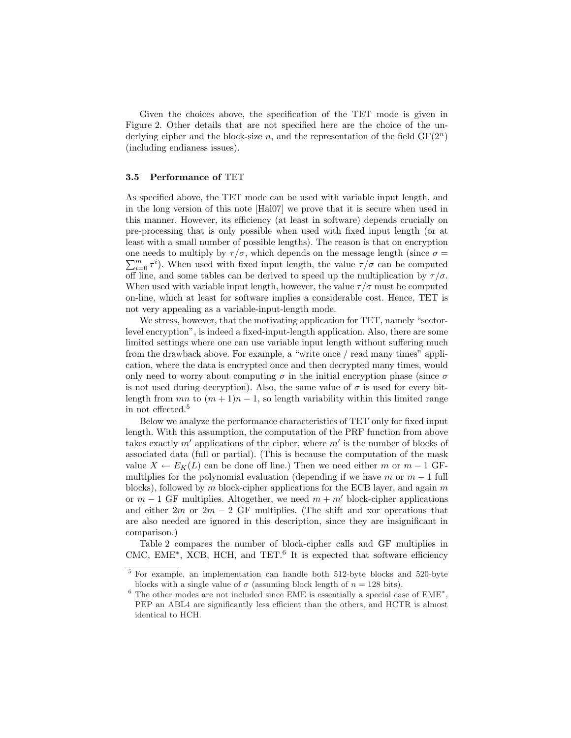Given the choices above, the specification of the TET mode is given in Figure 2. Other details that are not specified here are the choice of the underlying cipher and the block-size n, and the representation of the field  $GF(2<sup>n</sup>)$ (including endianess issues).

### 3.5 Performance of TET

As specified above, the TET mode can be used with variable input length, and in the long version of this note [Hal07] we prove that it is secure when used in this manner. However, its efficiency (at least in software) depends crucially on pre-processing that is only possible when used with fixed input length (or at least with a small number of possible lengths). The reason is that on encryption one needs to multiply by  $\tau/\sigma$ , which depends on the message length (since  $\sigma = \sum_{i=1}^{m}$  $\sum_{i=0}^{m} \tau^{i}$ ). When used with fixed input length, the value  $\tau/\sigma$  can be computed off line, and some tables can be derived to speed up the multiplication by  $\tau/\sigma$ . When used with variable input length, however, the value  $\tau/\sigma$  must be computed on-line, which at least for software implies a considerable cost. Hence, TET is not very appealing as a variable-input-length mode.

We stress, however, that the motivating application for TET, namely "sectorlevel encryption", is indeed a fixed-input-length application. Also, there are some limited settings where one can use variable input length without suffering much from the drawback above. For example, a "write once / read many times" application, where the data is encrypted once and then decrypted many times, would only need to worry about computing  $\sigma$  in the initial encryption phase (since  $\sigma$ is not used during decryption). Also, the same value of  $\sigma$  is used for every bitlength from mn to  $(m + 1)n - 1$ , so length variability within this limited range in not effected.<sup>5</sup>

Below we analyze the performance characteristics of TET only for fixed input length. With this assumption, the computation of the PRF function from above takes exactly  $m'$  applications of the cipher, where  $m'$  is the number of blocks of associated data (full or partial). (This is because the computation of the mask value  $X \leftarrow E_K(L)$  can be done off line.) Then we need either m or m − 1 GFmultiplies for the polynomial evaluation (depending if we have m or  $m-1$  full blocks), followed by  $m$  block-cipher applications for the ECB layer, and again  $m$ or  $m-1$  GF multiplies. Altogether, we need  $m+m'$  block-cipher applications and either  $2m$  or  $2m - 2$  GF multiplies. (The shift and xor operations that are also needed are ignored in this description, since they are insignificant in comparison.)

Table 2 compares the number of block-cipher calls and GF multiplies in CMC, EME<sup>∗</sup>, XCB, HCH, and TET.<sup>6</sup> It is expected that software efficiency

<sup>5</sup> For example, an implementation can handle both 512-byte blocks and 520-byte blocks with a single value of  $\sigma$  (assuming block length of  $n = 128$  bits).

 $6$  The other modes are not included since EME is essentially a special case of EME<sup> $*$ </sup>, PEP an ABL4 are significantly less efficient than the others, and HCTR is almost identical to HCH.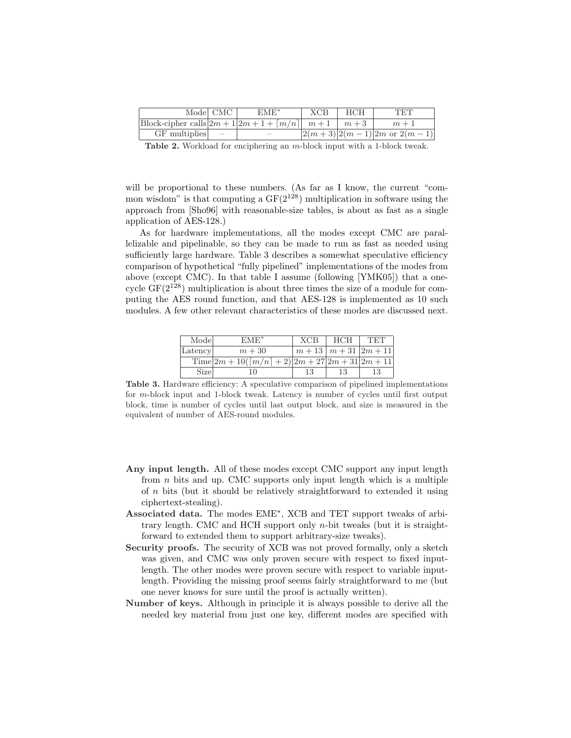|                                                                             | Model CMC | $EME^*$                  | <b>XCB</b> | <b>HCH</b> | TET                              |
|-----------------------------------------------------------------------------|-----------|--------------------------|------------|------------|----------------------------------|
| $ Block-cipher calls   2m + 1   2m + 1 + \lceil m/n \rceil   m + 1   m + 3$ |           |                          |            |            | $m+1$                            |
| $GF$ multiplies $\vert$ =                                                   |           | $\overline{\phantom{a}}$ |            |            | $ 2(m+3) 2(m-1) 2m$ or $2(m-1) $ |

Table 2. Workload for enciphering an m-block input with a 1-block tweak.

will be proportional to these numbers. (As far as I know, the current "common wisdom" is that computing a  $GF(2^{128})$  multiplication in software using the approach from [Sho96] with reasonable-size tables, is about as fast as a single application of AES-128.)

As for hardware implementations, all the modes except CMC are parallelizable and pipelinable, so they can be made to run as fast as needed using sufficiently large hardware. Table 3 describes a somewhat speculative efficiency comparison of hypothetical "fully pipelined" implementations of the modes from above (except CMC). In that table I assume (following [YMK05]) that a onecycle  $GF(2^{128})$  multiplication is about three times the size of a module for computing the AES round function, and that AES-128 is implemented as 10 such modules. A few other relevant characteristics of these modes are discussed next.

| Model   | $EME^*$                                                          | <b>XCB</b> | <b>HCH</b>                  | TET |
|---------|------------------------------------------------------------------|------------|-----------------------------|-----|
| Latency | $m+30$                                                           |            | $m+13 \mid m+31 \mid 2m+11$ |     |
|         | Time $ 2m+10(\lceil m/n \rceil+2)\overline{ 2m+27 2m+31 2m+11 }$ |            |                             |     |
| Sizel   |                                                                  | 13         | 13                          | 13  |

Table 3. Hardware efficiency: A speculative comparison of pipelined implementations for m-block input and 1-block tweak. Latency is number of cycles until first output block, time is number of cycles until last output block, and size is measured in the equivalent of number of AES-round modules.

- Any input length. All of these modes except CMC support any input length from  $n$  bits and up. CMC supports only input length which is a multiple of n bits (but it should be relatively straightforward to extended it using ciphertext-stealing).
- Associated data. The modes EME<sup>∗</sup> , XCB and TET support tweaks of arbitrary length. CMC and HCH support only n-bit tweaks (but it is straightforward to extended them to support arbitrary-size tweaks).
- Security proofs. The security of XCB was not proved formally, only a sketch was given, and CMC was only proven secure with respect to fixed inputlength. The other modes were proven secure with respect to variable inputlength. Providing the missing proof seems fairly straightforward to me (but one never knows for sure until the proof is actually written).
- Number of keys. Although in principle it is always possible to derive all the needed key material from just one key, different modes are specified with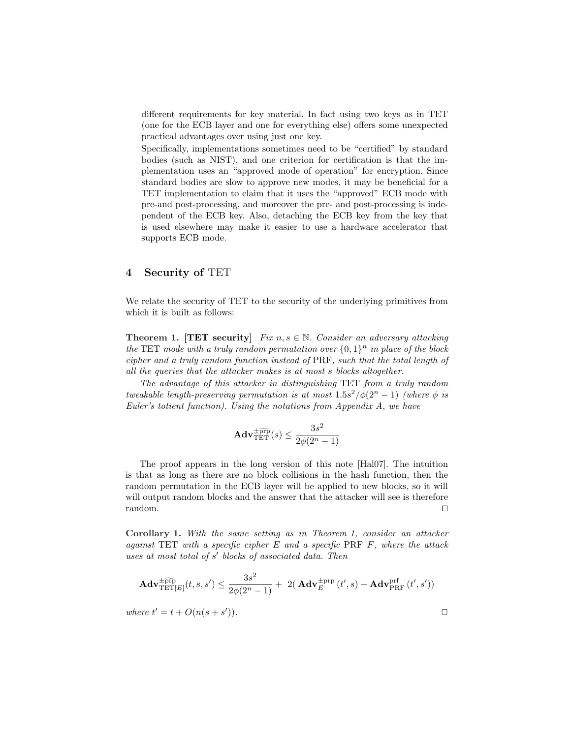different requirements for key material. In fact using two keys as in TET (one for the ECB layer and one for everything else) offers some unexpected practical advantages over using just one key.

Specifically, implementations sometimes need to be "certified" by standard bodies (such as NIST), and one criterion for certification is that the implementation uses an "approved mode of operation" for encryption. Since standard bodies are slow to approve new modes, it may be beneficial for a TET implementation to claim that it uses the "approved" ECB mode with pre-and post-processing, and moreover the pre- and post-processing is independent of the ECB key. Also, detaching the ECB key from the key that is used elsewhere may make it easier to use a hardware accelerator that supports ECB mode.

### 4 Security of TET

We relate the security of TET to the security of the underlying primitives from which it is built as follows:

**Theorem 1. [TET security]** Fix  $n, s \in \mathbb{N}$ . Consider an adversary attacking the TET mode with a truly random permutation over  $\{0,1\}^n$  in place of the block cipher and a truly random function instead of PRF, such that the total length of all the queries that the attacker makes is at most s blocks altogether.

The advantage of this attacker in distinguishing TET from a truly random tweakable length-preserving permutation is at most  $1.5s^2/\phi(2^n-1)$  (where  $\phi$  is Euler's totient function). Using the notations from Appendix A, we have

$$
\mathbf{Adv}_{\mathrm{TET}}^{\pm \widetilde{\mathrm{prp}}}(s) \leq \frac{3s^2}{2\phi(2^n-1)}
$$

The proof appears in the long version of this note [Hal07]. The intuition is that as long as there are no block collisions in the hash function, then the random permutation in the ECB layer will be applied to new blocks, so it will will output random blocks and the answer that the attacker will see is therefore  $r$ andom.  $\Box$ 

Corollary 1. With the same setting as in Theorem 1, consider an attacker against TET with a specific cipher  $E$  and a specific PRF  $F$ , where the attack uses at most total of s' blocks of associated data. Then

$$
\mathbf{Adv}_{\mathrm{TET}[E]}^{\pm \widetilde{\mathrm{prp}}}(t,s,s') \le \frac{3s^2}{2\phi(2^n-1)} + 2(\mathbf{Adv}_{E}^{\pm \mathrm{prp}}(t',s) + \mathbf{Adv}_{\mathrm{PRF}}^{\mathrm{prf}}(t',s'))
$$
\nwhere  $t' = t + O(n(s+s'))$ .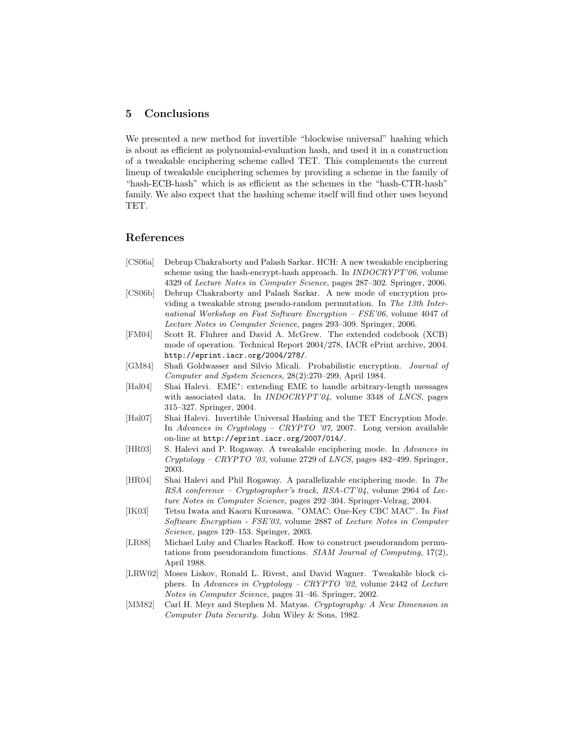### 5 Conclusions

We presented a new method for invertible "blockwise universal" hashing which is about as efficient as polynomial-evaluation hash, and used it in a construction of a tweakable enciphering scheme called TET. This complements the current lineup of tweakable enciphering schemes by providing a scheme in the family of "hash-ECB-hash" which is as efficient as the schemes in the "hash-CTR-hash" family. We also expect that the hashing scheme itself will find other uses beyond TET.

### References

- [CS06a] Debrup Chakraborty and Palash Sarkar. HCH: A new tweakable enciphering scheme using the hash-encrypt-hash approach. In *INDOCRYPT'06*, volume 4329 of Lecture Notes in Computer Science, pages 287–302. Springer, 2006.
- [CS06b] Debrup Chakraborty and Palash Sarkar. A new mode of encryption providing a tweakable strong pseudo-random permutation. In The 13th International Workshop on Fast Software Encryption – FSE'06, volume 4047 of Lecture Notes in Computer Science, pages 293–309. Springer, 2006.
- [FM04] Scott R. Fluhrer and David A. McGrew. The extended codebook (XCB) mode of operation. Technical Report 2004/278, IACR ePrint archive, 2004. http://eprint.iacr.org/2004/278/.
- [GM84] Shafi Goldwasser and Silvio Micali. Probabilistic encryption. Journal of Computer and System Sciences, 28(2):270–299, April 1984.
- [Hal04] Shai Halevi. EME<sup>∗</sup> : extending EME to handle arbitrary-length messages with associated data. In INDOCRYPT'04, volume 3348 of LNCS, pages 315–327. Springer, 2004.
- [Hal07] Shai Halevi. Invertible Universal Hashing and the TET Encryption Mode. In Advances in Cryptology – CRYPTO '07, 2007. Long version available on-line at http://eprint.iacr.org/2007/014/.
- [HR03] S. Halevi and P. Rogaway. A tweakable enciphering mode. In Advances in  $Cryptology - CRYPTO'03$ , volume 2729 of *LNCS*, pages 482–499. Springer, 2003.
- [HR04] Shai Halevi and Phil Rogaway. A parallelizable enciphering mode. In The RSA conference – Cryptographer's track, RSA-CT'04, volume 2964 of Lecture Notes in Computer Science, pages 292–304. Springer-Velrag, 2004.
- [IK03] Tetsu Iwata and Kaoru Kurosawa. "OMAC: One-Key CBC MAC". In Fast Software Encryption - FSE'03, volume 2887 of Lecture Notes in Computer Science, pages 129–153. Springer, 2003.
- [LR88] Michael Luby and Charles Rackoff. How to construct pseudorandom permutations from pseudorandom functions. SIAM Journal of Computing, 17(2), April 1988.
- [LRW02] Moses Liskov, Ronald L. Rivest, and David Wagner. Tweakable block ciphers. In Advances in Cryptology – CRYPTO '02, volume 2442 of Lecture Notes in Computer Science, pages 31–46. Springer, 2002.
- [MM82] Carl H. Meyr and Stephen M. Matyas. Cryptography: A New Dimension in Computer Data Security. John Wiley & Sons, 1982.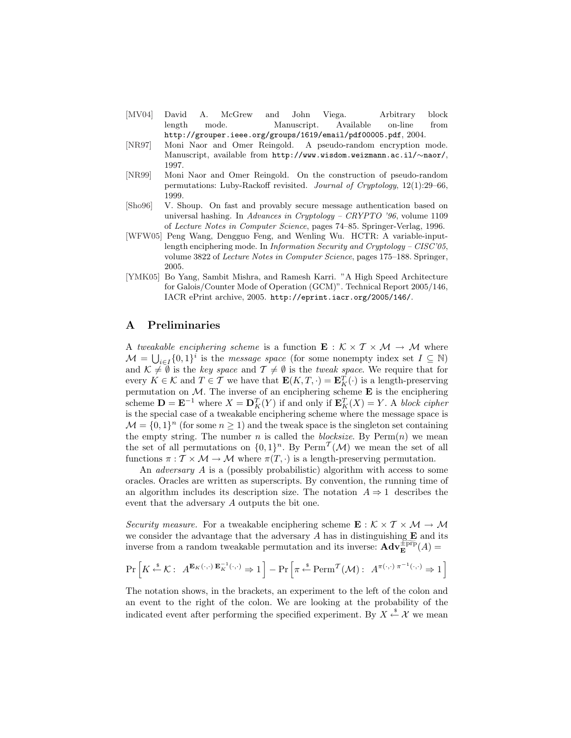- [MV04] David A. McGrew and John Viega. Arbitrary block length mode. Manuscript. Available on-line from http://grouper.ieee.org/groups/1619/email/pdf00005.pdf, 2004.
- [NR97] Moni Naor and Omer Reingold. A pseudo-random encryption mode. Manuscript, available from http://www.wisdom.weizmann.ac.il/∼naor/, 1997.
- [NR99] Moni Naor and Omer Reingold. On the construction of pseudo-random permutations: Luby-Rackoff revisited. Journal of Cryptology, 12(1):29–66, 1999.
- [Sho96] V. Shoup. On fast and provably secure message authentication based on universal hashing. In Advances in Cryptology – CRYPTO '96, volume 1109 of Lecture Notes in Computer Science, pages 74–85. Springer-Verlag, 1996.
- [WFW05] Peng Wang, Dengguo Feng, and Wenling Wu. HCTR: A variable-inputlength enciphering mode. In Information Security and Cryptology – CISC'05, volume 3822 of Lecture Notes in Computer Science, pages 175–188. Springer, 2005.
- [YMK05] Bo Yang, Sambit Mishra, and Ramesh Karri. "A High Speed Architecture for Galois/Counter Mode of Operation (GCM)". Technical Report 2005/146, IACR ePrint archive, 2005. http://eprint.iacr.org/2005/146/.

# A Preliminaries

A tweakable enciphering scheme is a function  $\mathbf{E}: \mathcal{K} \times \mathcal{T} \times \mathcal{M} \to \mathcal{M}$  where  $\mathcal{M} = \bigcup_{i \in I} \{0,1\}^i$  is the *message space* (for some nonempty index set  $I \subseteq \mathbb{N}$ ) and  $\mathcal{K} \neq \emptyset$  is the key space and  $\mathcal{T} \neq \emptyset$  is the tweak space. We require that for every  $K \in \mathcal{K}$  and  $T \in \mathcal{T}$  we have that  $\mathbf{E}(K,T,\cdot) = \mathbf{E}_K^T(\cdot)$  is a length-preserving permutation on  $M$ . The inverse of an enciphering scheme **E** is the enciphering scheme  $\mathbf{D} = \mathbf{E}^{-1}$  where  $X = \mathbf{D}_K^T(Y)$  if and only if  $\mathbf{E}_K^T(X) = Y$ . A block cipher is the special case of a tweakable enciphering scheme where the message space is  $\mathcal{M} = \{0, 1\}^n$  (for some  $n \geq 1$ ) and the tweak space is the singleton set containing the empty string. The number n is called the *blocksize*. By  $\text{Perm}(n)$  we mean the set of all permutations on  $\{0,1\}^n$ . By Perm<sup>T</sup>( $\mathcal{M}$ ) we mean the set of all functions  $\pi : \mathcal{T} \times \mathcal{M} \to \mathcal{M}$  where  $\pi(T, \cdot)$  is a length-preserving permutation.

An adversary A is a (possibly probabilistic) algorithm with access to some oracles. Oracles are written as superscripts. By convention, the running time of an algorithm includes its description size. The notation  $A \Rightarrow 1$  describes the event that the adversary A outputs the bit one.

Security measure. For a tweakable enciphering scheme  $\mathbf{E}: \mathcal{K} \times \mathcal{T} \times \mathcal{M} \to \mathcal{M}$ we consider the advantage that the adversary  $A$  has in distinguishing  $E$  and its inverse from a random tweakable permutation and its inverse:  $\mathbf{Adv}_{\mathbf{E}}^{\mathsf{FPP}}(A)$ 

$$
\Pr\left[K \xleftarrow{\$} \mathcal{K}: A^{\mathbf{E}_{K}(\cdot, \cdot)} \mathbf{E}_{K}^{-1}(\cdot, \cdot) \Rightarrow 1\right] - \Pr\left[\pi \xleftarrow{\$} \text{Perm}^{\mathcal{T}}(\mathcal{M}): A^{\pi(\cdot, \cdot)} \pi^{-1}(\cdot, \cdot) \Rightarrow 1\right]
$$

The notation shows, in the brackets, an experiment to the left of the colon and an event to the right of the colon. We are looking at the probability of the indicated event after performing the specified experiment. By  $X \stackrel{\$}{\leftarrow} \mathcal{X}$  we mean